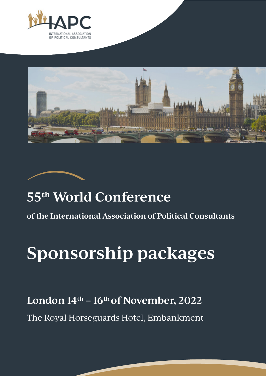





# **55th World Conference**

**of the International Association of Political Consultants** 

# **Sponsorship packages**

London 14<sup>th</sup> – 16<sup>th</sup> of November, 2022

The Royal Horseguards Hotel, Embankment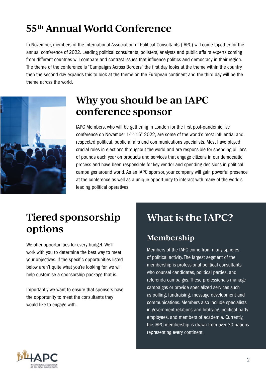# $55<sup>th</sup>$  Annual World Conference

In November, members of the International Association of Political Consultants (IAPC) will come together for the annual conference of 2022. Leading political consultants, pollsters, analysts and public affairs experts coming from different countries will compare and contrast issues that influence politics and democracy in their region. The theme of the conference is "Campaigns Across Borders" the first day looks at the theme within the country then the second day expands this to look at the theme on the European continent and the third day will be the theme across the world.



# **Why you should be an IAPC conference sponsor**

IAPC Members, who will be gathering in London for the first post-pandemic live conference on November  $14<sup>th</sup> - 16<sup>th</sup> 2022$ , are some of the world's most influential and respected political, public affairs and communications specialists. Most have played crucial roles in elections throughout the world and are responsible for spending billions of pounds each year on products and services that engage citizens in our democratic process and have been responsible for key vendor and spending decisions in political campaigns around world. As an IAPC sponsor, your company will gain powerful presence at the conference as well as a unique opportunity to interact with many of the world's leading political operatives.

# **Tiered sponsorship options**

We offer opportunities for every budget. We'll work with you to determine the best way to meet your objectives. If the specific opportunities listed below aren't quite what you're looking for, we will help customise a sponsorship package that is.

Importantly we want to ensure that sponsors have the opportunity to meet the consultants they would like to engage with.

# **What is the IAPC?**

#### **Membership**

Members of the IAPC come from many spheres of political activity. The largest segment of the membership is professional political consultants who counsel candidates, political parties, and referenda campaigns. These professionals manage campaigns or provide specialized services such as polling, fundraising, message development and communications. Members also include specialists in government relations and lobbying, political party employees, and members of academia. Currently, the IAPC membership is drawn from over 30 nations representing every continent.

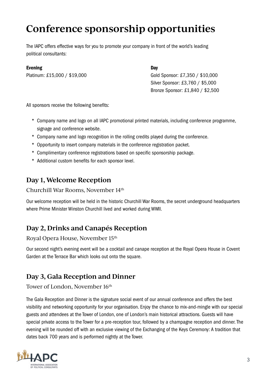# **Conference sponsorship opportunities**

The IAPC offers effective ways for you to promote your company in front of the world's leading political consultants:

#### Evening

Platinum: £15,000 / \$19,000

**Day** Gold Sponsor: £7,350 / \$10,000 Silver Sponsor: £3,760 / \$5,000 Bronze Sponsor: £1,840 / \$2,500

All sponsors receive the following benefits:

- \* Company name and logo on all IAPC promotional printed materials, including conference programme, signage and conference website.
- \* Company name and logo recognition in the rolling credits played during the conference.
- \* Opportunity to insert company materials in the conference registration packet.
- \* Complimentary conference registrations based on specific sponsorship package.
- \* Additional custom benefits for each sponsor level.

#### **Day 1, Welcome Reception**

#### Churchill War Rooms, November 14th

Our welcome reception will be held in the historic Churchill War Rooms, the secret underground headquarters where Prime Minister Winston Churchill lived and worked during WWII.

#### **Day 2, Drinks and Canapés Reception**

#### Royal Opera House, November 15th

Our second night's evening event will be a cocktail and canape reception at the Royal Opera House in Covent Garden at the Terrace Bar which looks out onto the square.

#### **Day 3, Gala Reception and Dinner**

#### Tower of London, November 16<sup>th</sup>

The Gala Reception and Dinner is the signature social event of our annual conference and offers the best visibility and networking opportunity for your organisation. Enjoy the chance to mix-and-mingle with our special guests and attendees at the Tower of London, one of London's main historical attractions. Guests will have special private access to the Tower for a pre-reception tour, followed by a champagne reception and dinner. The evening will be rounded off with an exclusive viewing of the Exchanging of the Keys Ceremony: A tradition that dates back 700 years and is performed nightly at the Tower.

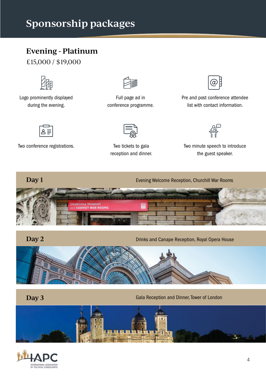# **Sponsorship packages<br>
Evening - Platinum**

£15,000 / \$19,000



Logo prominently displayed during the evening.



Full page ad in conference programme.



Pre and post conference attendee list with contact information.





Two tickets to gala reception and dinner.



Two conference registrations. Two tickets to gala Two minute speech to introduce the guest speaker.







**Day 2**

Drinks and Canape Reception, Royal Opera House



**Day 3**

Gala Reception and Dinner, Tower of London



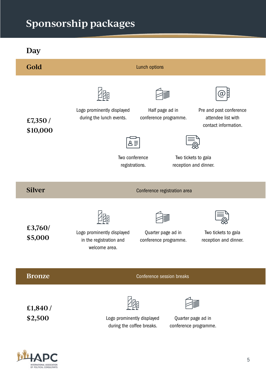# **Sponsorship Packages packages**